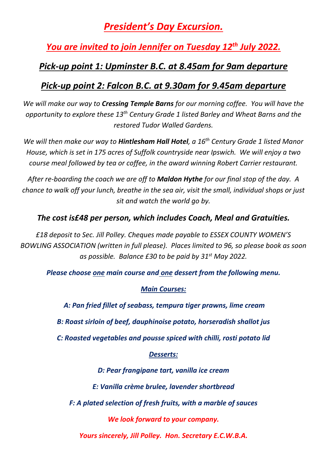# *President's Day Excursion.*

*You are invited to join Jennifer on Tuesday 12 th July 2022.*

## *Pick-up point 1: Upminster B.C. at 8.45am for 9am departure*

## *Pick-up point 2: Falcon B.C. at 9.30am for 9.45am departure*

*We will make our way to Cressing Temple Barns for our morning coffee. You will have the opportunity to explore these 13th Century Grade 1 listed Barley and Wheat Barns and the restored Tudor Walled Gardens.*

*We will then make our way to Hintlesham Hall Hotel, a 16th Century Grade 1 listed Manor House, which is set in 175 acres of Suffolk countryside near Ipswich. We will enjoy a two course meal followed by tea or coffee, in the award winning Robert Carrier restaurant.*

*After re-boarding the coach we are off to Maldon Hythe for our final stop of the day. A chance to walk off your lunch, breathe in the sea air, visit the small, individual shops or just sit and watch the world go by.*

### *The cost is£48 per person, which includes Coach, Meal and Gratuities.*

*£18 deposit to Sec. Jill Polley. Cheques made payable to ESSEX COUNTY WOMEN'S BOWLING ASSOCIATION (written in full please). Places limited to 96, so please book as soon as possible. Balance £30 to be paid by 31st May 2022.*

*Please choose one main course and one dessert from the following menu.*

#### *Main Courses:*

*A: Pan fried fillet of seabass, tempura tiger prawns, lime cream*

*B: Roast sirloin of beef, dauphinoise potato, horseradish shallot jus*

*C: Roasted vegetables and pousse spiced with chilli, rosti potato lid*

### *Desserts:*

*D: Pear frangipane tart, vanilla ice cream E: Vanilla crème brulee, lavender shortbread F: A plated selection of fresh fruits, with a marble of sauces We look forward to your company. Yours sincerely, Jill Polley. Hon. Secretary E.C.W.B.A.*